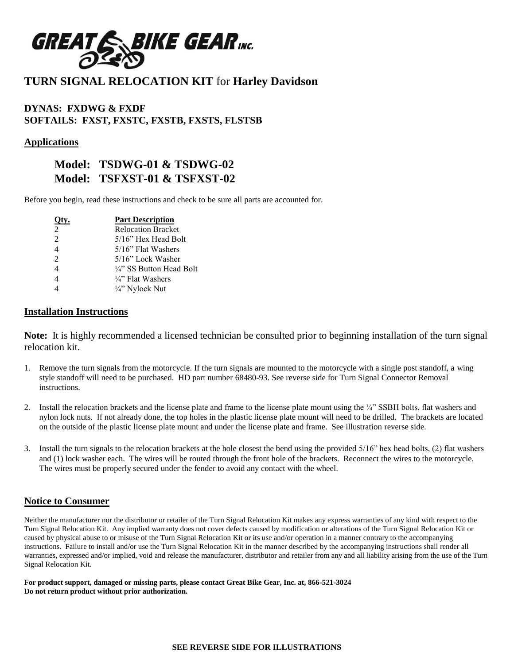

## **TURN SIGNAL RELOCATION KIT** for **Harley Davidson**

### **DYNAS: FXDWG & FXDF SOFTAILS: FXST, FXSTC, FXSTB, FXSTS, FLSTSB**

#### **Applications**

### **Model: TSDWG-01 & TSDWG-02 Model: TSFXST-01 & TSFXST-02**

Before you begin, read these instructions and check to be sure all parts are accounted for.

|                | <b>Part Description</b>             |
|----------------|-------------------------------------|
| $\mathfrak{D}$ | <b>Relocation Bracket</b>           |
| $\mathfrak{D}$ | 5/16" Hex Head Bolt                 |
| $\overline{4}$ | $5/16$ " Flat Washers               |
| $\mathfrak{D}$ | 5/16" Lock Washer                   |
| $\overline{4}$ | $\frac{1}{4}$ " SS Button Head Bolt |
| $\overline{4}$ | $\frac{1}{4}$ . Flat Washers        |
|                | 1/4" Nylock Nut                     |

#### **Installation Instructions**

**Note:** It is highly recommended a licensed technician be consulted prior to beginning installation of the turn signal relocation kit.

- 1. Remove the turn signals from the motorcycle. If the turn signals are mounted to the motorcycle with a single post standoff, a wing style standoff will need to be purchased. HD part number 68480-93. See reverse side for Turn Signal Connector Removal instructions.
- 2. Install the relocation brackets and the license plate and frame to the license plate mount using the ¼" SSBH bolts, flat washers and nylon lock nuts. If not already done, the top holes in the plastic license plate mount will need to be drilled. The brackets are located on the outside of the plastic license plate mount and under the license plate and frame. See illustration reverse side.
- 3. Install the turn signals to the relocation brackets at the hole closest the bend using the provided 5/16" hex head bolts, (2) flat washers and (1) lock washer each. The wires will be routed through the front hole of the brackets. Reconnect the wires to the motorcycle. The wires must be properly secured under the fender to avoid any contact with the wheel.

#### **Notice to Consumer**

Neither the manufacturer nor the distributor or retailer of the Turn Signal Relocation Kit makes any express warranties of any kind with respect to the Turn Signal Relocation Kit. Any implied warranty does not cover defects caused by modification or alterations of the Turn Signal Relocation Kit or caused by physical abuse to or misuse of the Turn Signal Relocation Kit or its use and/or operation in a manner contrary to the accompanying instructions. Failure to install and/or use the Turn Signal Relocation Kit in the manner described by the accompanying instructions shall render all warranties, expressed and/or implied, void and release the manufacturer, distributor and retailer from any and all liability arising from the use of the Turn Signal Relocation Kit.

**For product support, damaged or missing parts, please contact Great Bike Gear, Inc. at, 866-521-3024 Do not return product without prior authorization.**